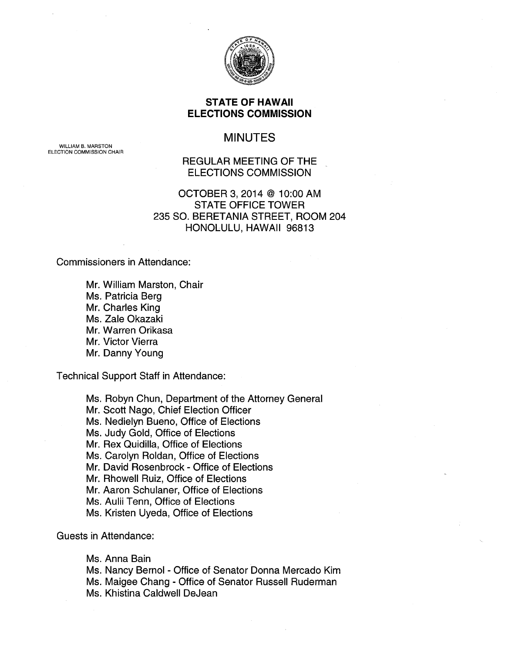

### STATE OF HAWAII ELECTIONS COMMISSION

# MINUTES

WILLIAM B. MARSTON ELECTION COMMISSION CHAIR

### REGULAR MEETING OF THE ELECTIONS COMMISSION

## OCTOBER 3, 2014 @ 10:00 AM STATE OFFICE TOWER 235 SO. BERETANIA STREET, ROOM 204 HONOLULU, HAWAII 96813

Commissioners in Attendance:

Mr. William Marston, Chair Ms. Patricia Berg Mr. Charles King Ms. Zale Okazaki Mr. Warren Orikasa Mr. Victor Vierra Mr. Danny Young

Technical Support Staff in Attendance:

Ms. Robyn Chun, Department of the Attorney General Mr. Scott Nago, Chief Election Officer Ms. Nedielyn Bueno, Office of Elections Ms. Judy Gold, Office of Elections Mr. Rex Quidilla, Office of Elections Ms. Carolyn Roldan, Office of Elections Mr. David Rosenbrock- Office of Elections Mr. Rhowell Ruiz, Office of Elections Mr. Aaron Schulaner, Office of Elections Ms. Aulii Tenn, Office of Elections Ms. Kristen Uyeda, Office of Elections

Guests in Attendance:

Ms. Anna Bain Ms. Nancy Bernal - Office of Senator Donna Mercado Kim Ms. Maigee Chang - Office of Senator Russell Ruderman Ms. Khistina Caldwell DeJean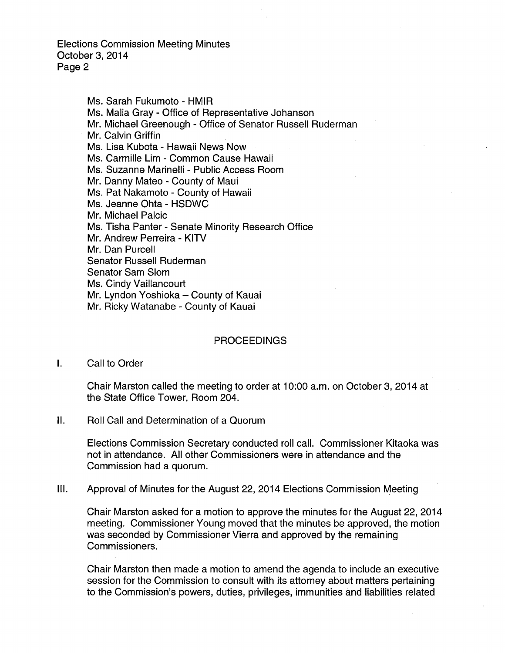> Ms. Sarah Fukumoto- HMIR Ms. Malia Gray - Office of Representative Johanson Mr. Michael Greenough - Office of Senator Russell Ruderman Mr. Calvin Griffin Ms. Lisa Kubota - Hawaii News Now Ms. Carmille Lim - Common Cause Hawaii Ms. Suzanne Marinelli - Public Access Room Mr. Danny Mateo - County of Maui Ms. Pat Nakamoto - County of Hawaii Ms. Jeanne Ohta - HSDWC Mr. Michael Palcic Ms. Tisha Panter - Senate Minority Research Office Mr. Andrew Perreira - KITV Mr. Dan Purcell Senator Russell Ruderman Senator Sam Slom Ms. Cindy Vaillancourt Mr. Lyndon Yoshioka - County of Kauai Mr. Ricky Watanabe- County of Kauai

#### PROCEEDINGS

I. Call to Order

Chair Marston called the meeting to order at 10:00 a.m. on October 3, 2014 at the State Office Tower, Room 204.

II. Roll Call and Determination of a Quorum

Elections Commission Secretary conducted roll call. Commissioner Kitaoka was not in attendance. All other Commissioners were in attendance and the Commission had a quorum.

III. Approval of Minutes for the August 22, 2014 Elections Commission Meeting

Chair Marston asked for a motion to approve the minutes for the August 22, 2014 meeting. Commissioner Young moved that the minutes be approved, the motion was seconded by Commissioner Vierra and approved by the remaining Commissioners.

Chair Marston then made a motion to amend the agenda to include an executive session for the Commission to consult with its attorney about matters pertaining to the Commission's powers, duties, privileges, immunities and liabilities related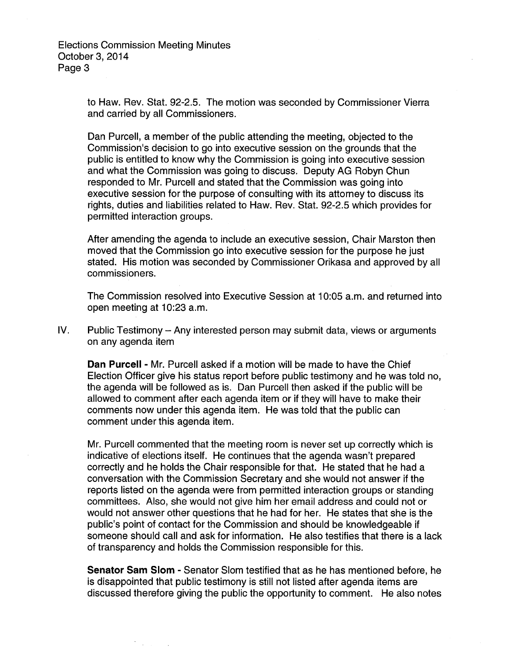> to Haw. Rev. Stat. 92-2.5. The motion was seconded by Commissioner Vierra and carried by all Commissioners.

> Dan Purcell, a member of the public attending the meeting, objected to the Commission's decision to go into executive session on the grounds that the public is entitled to know why the Commission is going into executive session and what the Commission was going to discuss. Deputy AG Robyn Chun responded to Mr. Purcell and stated that the Commission was going into executive session for the purpose of consulting with its attorney to discuss its rights, duties and liabilities related to Haw. Rev. Stat. 92-2.5 which provides for permitted interaction groups.

After amending the agenda to include an executive session, Chair Marston then moved that the Commission go into executive session for the purpose he just stated. His motion was seconded by Commissioner Orikasa and approved by all commissioners.

The Commission resolved into Executive Session at 10:05 a.m. and returned into open meeting at 10:23 a.m.

IV. Public Testimony - Any interested person may submit data, views or arguments on any agenda item

**Dan Purcell-** Mr. Purcell asked if a motion will be made to have the Chief Election Officer give his status report before public testimony and he was told no, the agenda will be followed as is. Dan Purcell then asked if the public will be allowed to comment after each agenda item or if they will have to make their comments now under this agenda item. He was told that the public can comment under this agenda item.

Mr. Purcell commented that the meeting room is never set up correctly which is indicative of elections itself. He continues that the agenda wasn't prepared correctly and he holds the Chair responsible for that. He stated that he had a conversation with the Commission Secretary and she would not answer if the reports listed on the agenda were from permitted interaction groups or standing committees. Also, she would not give him her email address and could not or would not answer other questions that he had for her. He states that she is the public's point of contact for the Commission and should be knowledgeable if someone should call and ask for information. He also testifies that there is a lack of transparency and holds the Commission responsible for this.

**Senator Sam Slom** - Senator Slom testified that as he has mentioned before, he is disappointed that public testimony is still not listed after agenda items are discussed therefore giving the public the opportunity to comment. He also notes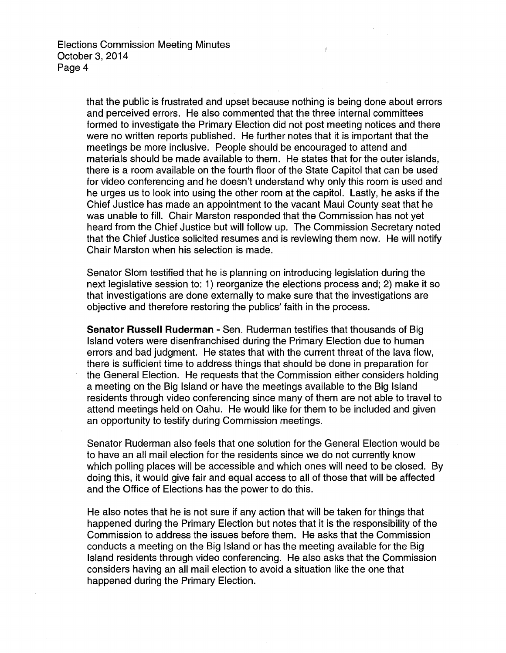> that the public is frustrated and upset because nothing is being done about errors and perceived errors. He also commented that the three internal committees formed to investigate the Primary Election did not post meeting notices and there were no written reports published. He further notes that it is important that the meetings be more inclusive. People should be encouraged to attend and materials should be made available to them. He states that for the outer islands, there is a room available on the fourth floor of the State Capitol that can be used for video conferencing and he doesn't understand why only this room is used and he urges us to look into using the other room at the capitol. Lastly, he asks if the Chief Justice has made an appointment to the vacant Maui County seat that he was unable to fill. Chair Marston responded that the Commission has not yet heard from the Chief Justice but will follow up. The Commission Secretary noted that the Chief Justice solicited resumes and is reviewing them now. He will notify Chair Marston when his selection is made.

> Senator Slom testified that he is planning on introducing legislation during the next legislative session to: 1) reorganize the elections process and; 2) make it so that investigations are done externally to make sure that the investigations are objective and therefore restoring the publics' faith in the process.

> **Senator Russell Ruderman-** Sen. Ruderman testifies that thousands of Big Island voters were disenfranchised during the Primary Election due to human errors and bad judgment. He states that with the current threat of the lava flow, there is sufficient time to address things that should be done in preparation for the General Election. He requests that the Commission either considers holding a meeting on the Big Island or have the meetings available to the Big Island residents through video conferencing since many of them are not able to travel to attend meetings held on Oahu. He would like for them to be included and given an opportunity to testify during Commission meetings.

> Senator Ruderman also feels that one solution for the General Election would be to have an all mail election for the residents since we do not currently know which polling places will be accessible and which ones will need to be closed. By doing this, it would give fair and equal access to all of those that will be affected and the Office of Elections has the power to do this.

He also notes that he is not sure if any action that will be taken for things that happened during the Primary Election but notes that it is the responsibility of the Commission to address the issues before them. He asks that the Commission conducts a meeting on the Big Island or has the meeting available for the Big Island residents through video conferencing. He also asks that the Commission considers having an all mail election to avoid a situation like the one that happened during the Primary Election.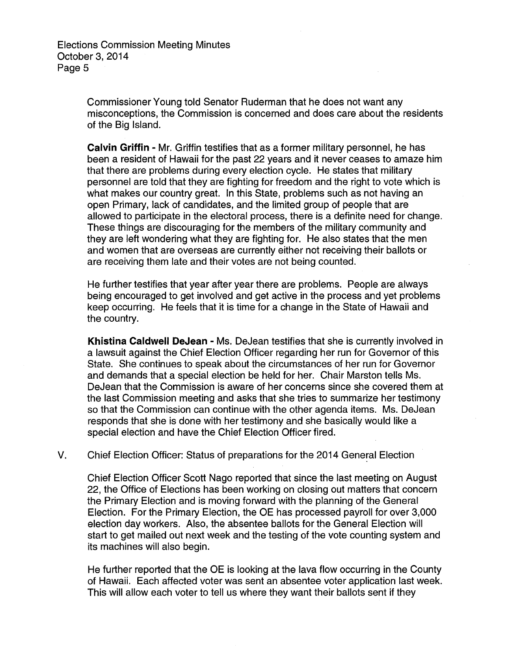> Commissioner Young told Senator Ruderman that he does not want any misconceptions, the Commission is concerned and does care about the residents of the Big Island.

> **Calvin Griffin** - Mr. Griffin testifies that as a former military personnel, he has been a resident of Hawaii for the past 22 years and it never ceases to amaze him that there are problems during every election cycle. He states that military personnel are told that they are fighting for freedom and the right to vote which is what makes our country great. In this State, problems such as not having an open Primary, lack of candidates, and the limited group of people that are allowed to participate in the electoral process, there is a definite need for change. These things are discouraging for the members of the military community and they are left wondering what they are fighting for. He also states that the men and women that are overseas are currently either not receiving their ballots or are receiving them late and their votes are not being counted.

> He further testifies that year after year there are problems. People are always being encouraged to get involved and get active in the process and yet problems keep occurring. He feels that it is time for a change in the State of Hawaii and the country.

**Khistina Caldwell DeJean** - Ms. DeJean testifies that she is currently involved in a lawsuit against the Chief Election Officer regarding her run for Governor of this State. She continues to speak about the circumstances of her run for Governor and demands that a special election be held for her. Chair Marston tells Ms. DeJean that the Commission is aware of her concerns since she covered them at the last Commission meeting and asks that she tries to summarize her testimony so that the Commission can continue with the other agenda items. Ms. DeJean responds that she is done with her testimony and she basically would like a special election and have the Chief Election Officer fired.

V. Chief Election Officer: Status of preparations for the 2014 General Election

Chief Election Officer Scott Nago reported that since the last meeting on August 22, the Office of Elections has been working on closing out matters that concern the Primary Election and is moving forward with the planning of the General Election. For the Primary Election, the OE has processed payroll for over 3,000 election day workers. Also, the absentee ballots for the General Election will start to get mailed out next week and the testing of the vote counting system and its machines will also begin.

He further reported that the OE is looking at the lava flow occurring in the County of Hawaii. Each affected voter was sent an absentee voter application last week. This will allow each voter to tell us where they want their ballots sent if they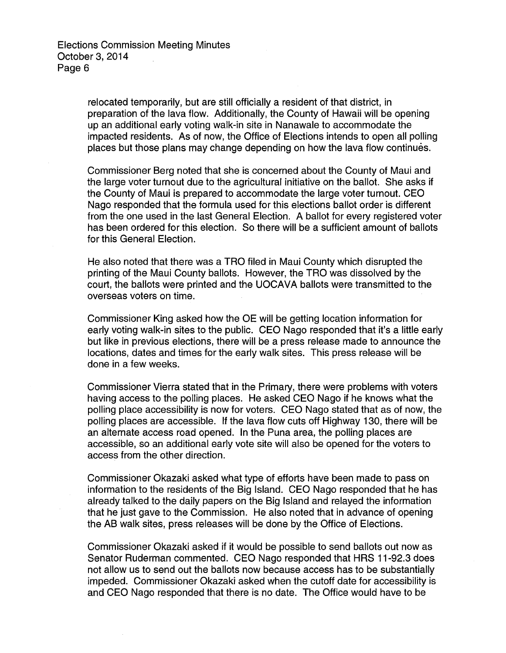relocated temporarily, but are still officially a resident of that district, in preparation of the lava flow. Additionally, the County of Hawaii will be opening up an additional early voting walk-in site in Nanawale to accommodate the impacted residents. As of now, the Office of Elections intends to open all polling places but those plans may change depending on how the lava flow continues.

Commissioner Berg noted that she is concerned about the County of Maui and the large voter turnout due to the agricultural initiative on the ballot. She asks if the County of Maui is prepared to accommodate the large voter turnout. CEO Nago responded that the formula used for this elections ballot order is different from the one used in the last General Election. A ballot for every registered voter has been ordered for this election. So there will be a sufficient amount of ballots for this General Election.

He also noted that there was a TAO filed in Maui County which disrupted the printing of the Maui County ballots. However, the TAO was dissolved by the court, the ballots were printed and the UOCAVA ballots were transmitted to the overseas voters on time.

Commissioner King asked how the OE will be getting location information for early voting walk-in sites to the public. CEO Nago responded that it's a little early but like in previous elections, there will be a press release made to announce the locations, dates and times for the early walk sites. This press release will be done in a few weeks.

Commissioner Vierra stated that in the Primary, there were problems with voters having access to the polling places. He asked CEO Nago if he knows what the polling place accessibility is now for voters. CEO Nago stated that as of now, the polling places are accessible. If the lava flow cuts off Highway 130, there will be an alternate access road opened. In the Puna area, the polling places are accessible, so an additional early vote site will also be opened for the voters to access from the other direction.

Commissioner Okazaki asked what type of efforts have been made to pass on information to the residents of the Big Island. CEO Nago responded that he has already talked to the daily papers on the Big Island and relayed the information that he just gave to the Commission. He also noted that in advance of opening the AB walk sites, press releases will be done by the Office of Elections.

Commissioner Okazaki asked if it would be possible to send ballots out now as Senator Ruderman commented. CEO Nago responded that HAS 11-92.3 does not allow us to send out the ballots now because access has to be substantially impeded. Commissioner Okazaki asked when the cutoff date for accessibility is and CEO Nago responded that there is no date. The Office would have to be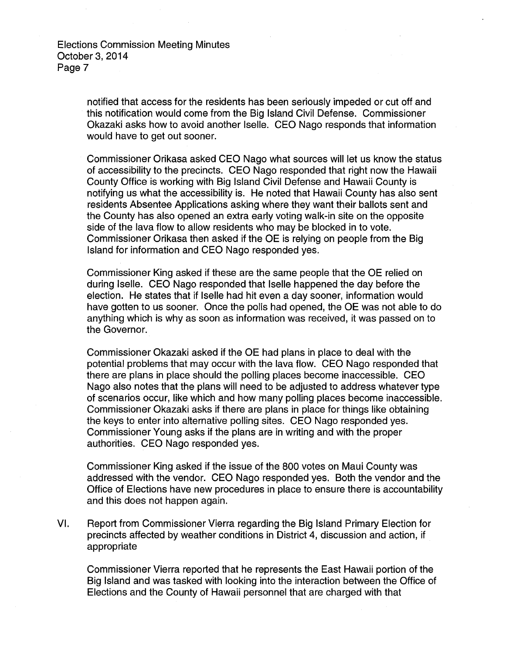> notified that access for the residents has been seriously impeded or cut off and this notification would come from the Big Island Civil Defense. Commissioner Okazaki asks how to avoid another lselle. CEO Nago responds that information would have to get out sooner.

Commissioner Orikasa asked CEO Nago what sources will let us know the status of accessibility to the precincts. CEO Nago responded that right now the Hawaii County Office is working with Big Island Civil Defense and Hawaii County is notifying us what the accessibility is. He noted that Hawaii County has also sent residents Absentee Applications asking where they want their ballots sent and the County has also opened an extra early voting walk-in site on the opposite side of the lava flow to allow residents who may be blocked in to vote. Commissioner Orikasa then asked if the OE is relying on people from the Big Island for information and CEO Nago responded yes.

Commissioner King asked if these are the same people that the OE relied on during lselle. CEO Nago responded that lselle happened the day before the election. He states that if lselle had hit even a day sooner, information would have gotten to us sooner. Once the polls had opened, the OE was not able to do anything which is why as soon as information was received, it was passed on to the Governor.

Commissioner Okazaki asked if the OE had plans in place to deal with the potential problems that may occur with the lava flow. CEO Nago responded that there are plans in place should the polling places become inaccessible. CEO Nago also notes that the plans will need to be adjusted to address whatever type of scenarios occur, like which and how many polling places become inaccessible. Commissioner Okazaki asks if there are plans in place for things like obtaining the keys to enter into alternative polling sites. CEO Nago responded yes. Commissioner Young asks if the plans are in writing and with the proper authorities. CEO Nago responded yes.

Commissioner King asked if the issue of the 800 votes on Maui County was addressed with the vendor. CEO Nago responded yes. Both the vendor and the Office of Elections have new procedures in place to ensure there is accountability and this does not happen again.

VI. Report from Commissioner Vierra regarding the Big Island Primary Election for precincts affected by weather conditions in District 4, discussion and action, if appropriate

Commissioner Vierra reported that he represents the East Hawaii portion of the Big Island and was tasked with looking into the interaction between the Office of Elections and the County of Hawaii personnel that are charged with that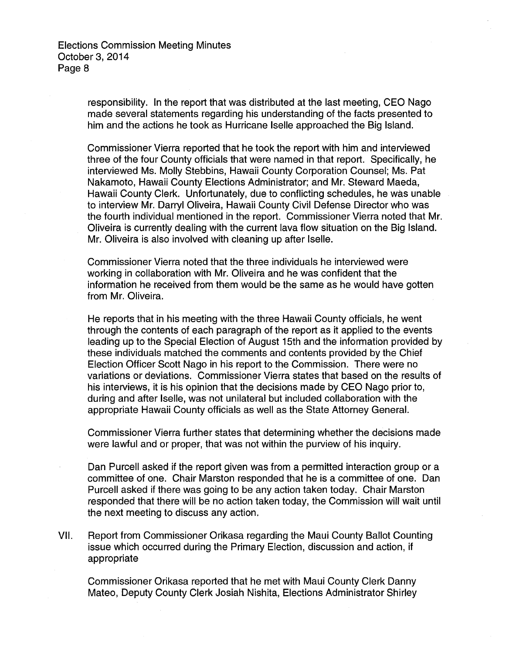> responsibility. In the report that was distributed at the last meeting, CEO Nago made several statements regarding his understanding of the facts presented to him and the actions he took as Hurricane lselle approached the Big Island.

Commissioner Vierra reported that he took the report with him and interviewed three of the four County officials that were named in that report. Specifically, he interviewed Ms. Molly Stebbins, Hawaii County Corporation Counsel; Ms. Pat Nakamoto, Hawaii County Elections Administrator; and Mr. Steward Maeda, Hawaii County Clerk. Unfortunately, due to conflicting schedules, he was unable to interview Mr. Darryl Oliveira, Hawaii County Civil Defense Director who was the fourth individual mentioned in the report. Commissioner Vierra noted that Mr. Oliveira is currently dealing with the current lava flow situation on the Big Island. Mr. Oliveira is also involved with cleaning up after lselle.

Commissioner Vierra noted that the three individuals he interviewed were working in collaboration with Mr. Oliveira and he was confident that the information he received from them would be the same as he would have gotten from Mr. Oliveira.

He reports that in his meeting with the three Hawaii County officials, he went through the contents of each paragraph of the report as it applied to the events leading up to the Special Election of August 15th and the information provided by these individuals matched the comments and contents provided by the Chief Election Officer Scott Nago in his report to the Commission. There were no variations or deviations. Commissioner Vierra states that based on the results of his interviews, it is his opinion that the decisions made by CEO Nago prior to, during and after lselle, was not unilateral but included collaboration with the appropriate Hawaii County officials as well as the State Attorney General.

Commissioner Vierra further states that determining whether the decisions made were lawful and or proper, that was not within the purview of his inquiry.

Dan Purcell asked if the report given was from a permitted interaction group or a committee of one. Chair Marston responded that he is a committee of one. Dan Purcell asked if there was going to be any action taken today. Chair Marston responded that there will be no action taken today, the Commission will wait until the next meeting to discuss any action.

VII. Report from Commissioner Orikasa regarding the Maui County Ballot Counting issue which occurred during the Primary Election, discussion and action, if appropriate

Commissioner Orikasa reported that he met with Maui County Clerk Danny Mateo, Deputy County Clerk Josiah Nishita, Elections Administrator Shirley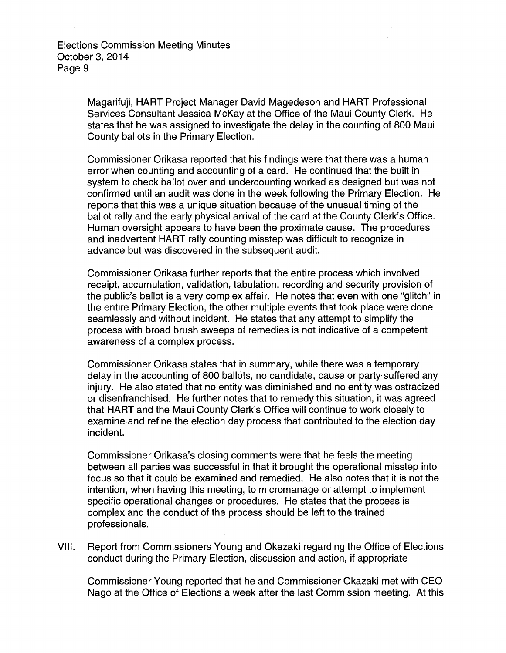> Magarifuji, HART Project Manager David Magedeson and HART Professional Services Consultant Jessica McKay at the Office of the Maui County Clerk. He states that he was assigned to investigate the delay in the counting of 800 Maui County ballots in the Primary Election.

Commissioner Orikasa reported that his findings were that there was a human error when counting and accounting of a card. He continued that the built in system to check ballot over and undercounting worked as designed but was not confirmed until an audit was done in the week following the Primary Election. He reports that this was a unique situation because of the unusual timing of the ballot rally and the early physical arrival of the card at the County Clerk's Office. Human oversight appears to have been the proximate cause. The procedures and inadvertent HART rally counting misstep was difficult to recognize in advance but was discovered in the subsequent audit.

Commissioner Orikasa further reports that the entire process which involved receipt, accumulation, validation, tabulation, recording and security provision of the public's ballot is a very complex affair. He notes that even with one "glitch" in the entire Primary Election, the other multiple events that took place were done seamlessly and without incident. He states that any attempt to simplify the process with broad brush sweeps of remedies is not indicative of a competent awareness of a complex process.

Commissioner Orikasa states that in summary, while there was a temporary delay in the accounting of 800 ballots, no candidate, cause or party suffered any injury. He also stated that no entity was diminished and no entity was ostracized or disenfranchised. He further notes that to remedy this situation, it was agreed that HART and the Maui County Clerk's Office will continue to work closely to examine and refine the election day process that contributed to the election day incident.

Commissioner Orikasa's closing comments were that he feels the meeting between all parties was successful in that it brought the operational misstep into focus so that it could be examined and remedied. He also notes that it is not the intention, when having this meeting, to micromanage or attempt to implement specific operational changes or procedures. He states that the process is complex and the conduct of the process should be left to the trained professionals.

VIII. Report from Commissioners Young and Okazaki regarding the Office of Elections conduct during the Primary Election, discussion and action, if appropriate

Commissioner Young reported that he and Commissioner Okazaki met with CEO Nago at the Office of Elections a week after the last Commission meeting. At this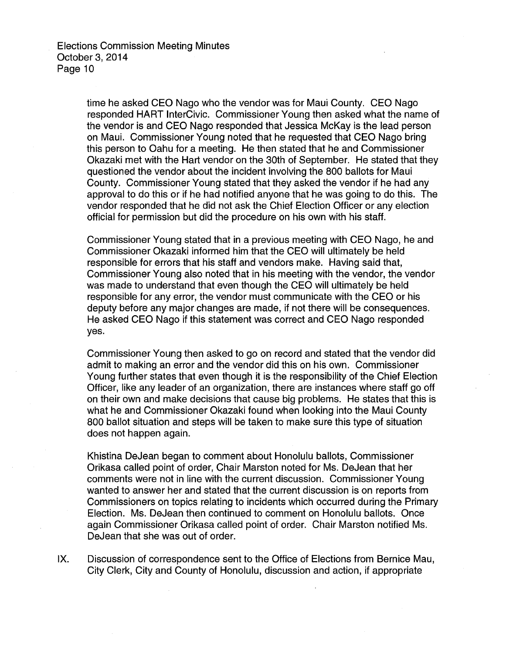time he asked CEO Nago who the vendor was for Maui County. CEO Nago responded HART lnterCivic. Commissioner Young then asked what the name of the vendor is and CEO Nago responded that Jessica McKay is the lead person on Maui. Commissioner Young noted that he requested that CEO Nago bring this person to Oahu for a meeting. He then stated that he and Commissioner Okazaki met with the Hart vendor on the 30th of September. He stated that they questioned the vendor about the incident involving the 800 ballots for Maui County. Commissioner Young stated that they asked the vendor if he had any approval to do this or if he had notified anyone that he was going to do this. The vendor responded that he did not ask the Chief Election Officer or any election official for permission but did the procedure on his own with his staff.

Commissioner Young stated that in a previous meeting with CEO Nago, he and Commissioner Okazaki informed him that the CEO will ultimately be held responsible for errors that his staff and vendors make. Having said that, Commissioner Young also noted that in his meeting with the vendor, the vendor was made to understand that even though the CEO will ultimately be held responsible for any error, the vendor must communicate with the CEO or his deputy before any major changes are made, if not there will be consequences. He asked CEO Nago if this statement was correct and CEO Nago responded yes.

Commissioner Young then asked to go on record and stated that the vendor did admit to making an error and the vendor did this on his own. Commissioner Young further states that even though it is the responsibility of the Chief Election Officer, like any leader of an organization, there are instances where staff go off on their own and make decisions that cause big problems. He states that this is what he and Commissioner Okazaki found when looking into the Maui County 800 ballot situation and steps will be taken to make sure this type of situation does not happen again.

Khistina DeJean began to comment about Honolulu ballots, Commissioner Orikasa called point of order, Chair Marston noted for Ms. DeJean that her comments were not in line with the current discussion. Commissioner Young wanted to answer her and stated that the current discussion is on reports from Commissioners on topics relating to incidents which occurred during the Primary Election. Ms. DeJean then continued to comment on Honolulu ballots. Once again Commissioner Orikasa called point of order. Chair Marston notified Ms. DeJean that she was out of order.

IX. Discussion of correspondence sent to the Office of Elections from Bernice Mau, City Clerk, City and County of Honolulu, discussion and action, if appropriate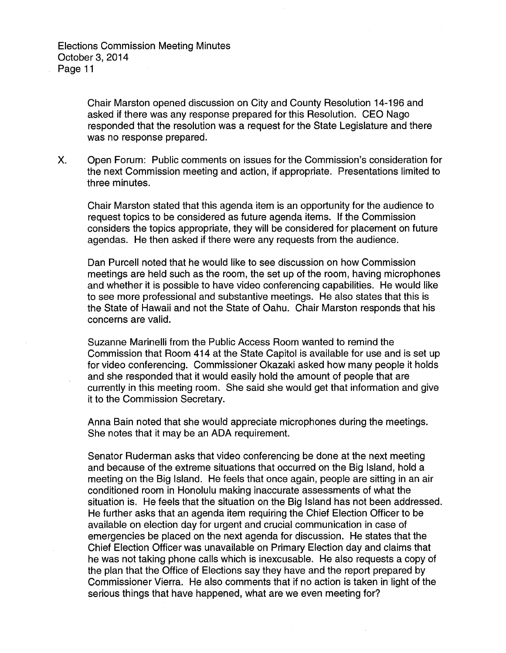Chair Marston opened discussion on City and County Resolution 14-196 and asked if there was any response prepared for this Resolution. CEO Nago responded that the resolution was a request for the State Legislature and there was no response prepared.

X. Open Forum: Public comments on issues for the Commission's consideration for the next Commission meeting and action, if appropriate. Presentations limited to three minutes.

Chair Marston stated that this agenda item is an opportunity for the audience to request topics to be considered as future agenda items. If the Commission considers the topics appropriate, they will be considered for placement on future agendas. He then asked if there were any requests from the audience.

Dan Purcell noted that he would like to see discussion on how Commission meetings are held such as the room, the set up of the room, having microphones and whether it is possible to have video conferencing capabilities. He would like to see more professional and substantive meetings. He also states that this is the State of Hawaii and not the State of Oahu. Chair Marston responds that his concerns are valid.

Suzanne Marinelli from the Public Access Room wanted to remind the Commission that Room 414 at the State Capitol is available for use and is set up for video conferencing. Commissioner Okazaki asked how many people it holds and she responded that it would easily hold the amount of people that are currently in this meeting room. She said she would get that information and give it to the Commission Secretary.

Anna Bain noted that she would appreciate microphones during the meetings. She notes that it may be an ADA requirement.

Senator Ruderman asks that video conferencing be done at the next meeting and because of the extreme situations that occurred on the Big Island, hold a meeting on the Big Island. He feels that once again, people are sitting in an air conditioned room in Honolulu making inaccurate assessments of what the situation is. He feels that the situation on the Big Island has not been addressed. He further asks that an agenda item requiring the Chief Election Officer to be available on election day for urgent and crucial communication in case of emergencies be placed on the next agenda for discussion. He states that the Chief Election Officer was unavailable on Primary Election day and claims that he was not taking phone calls which is inexcusable. He also requests a copy of the plan that the Office of Elections say they have and the report prepared by Commissioner Vierra. He also comments that if no action is taken in light of the serious things that have happened, what are we even meeting for?